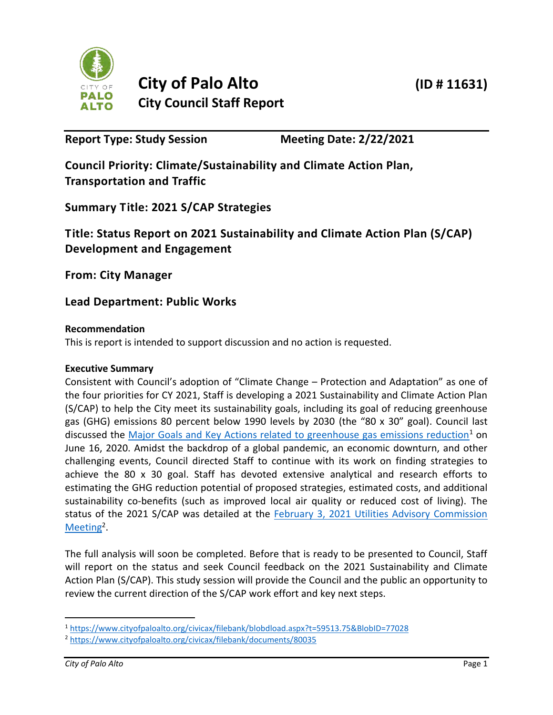

**Report Type: Study Session Meeting Date: 2/22/2021**

**Council Priority: Climate/Sustainability and Climate Action Plan, Transportation and Traffic**

**Summary Title: 2021 S/CAP Strategies**

**Title: Status Report on 2021 Sustainability and Climate Action Plan (S/CAP) Development and Engagement**

**From: City Manager**

**Lead Department: Public Works**

# **Recommendation**

This is report is intended to support discussion and no action is requested.

## **Executive Summary**

Consistent with Council's adoption of "Climate Change – Protection and Adaptation" as one of the four priorities for CY 2021, Staff is developing a 2021 Sustainability and Climate Action Plan (S/CAP) to help the City meet its sustainability goals, including its goal of reducing greenhouse gas (GHG) emissions 80 percent below 1990 levels by 2030 (the "80 x 30" goal). Council last discussed the [Major Goals and Key Actions related to greenhouse gas emissions reduction](https://www.cityofpaloalto.org/civicax/filebank/blobdload.aspx?t=59513.75&BlobID=77028)<sup>1</sup> on June 16, 2020. Amidst the backdrop of a global pandemic, an economic downturn, and other challenging events, Council directed Staff to continue with its work on finding strategies to achieve the 80 x 30 goal. Staff has devoted extensive analytical and research efforts to estimating the GHG reduction potential of proposed strategies, estimated costs, and additional sustainability co-benefits (such as improved local air quality or reduced cost of living). The status of the 2021 S/CAP was detailed at the **February 3, 2021 Utilities Advisory Commission** [Meeting](https://www.cityofpaloalto.org/civicax/filebank/documents/80035)<sup>2</sup>.

The full analysis will soon be completed. Before that is ready to be presented to Council, Staff will report on the status and seek Council feedback on the 2021 Sustainability and Climate Action Plan (S/CAP). This study session will provide the Council and the public an opportunity to review the current direction of the S/CAP work effort and key next steps.

 $\overline{a}$ 

<sup>1</sup> <https://www.cityofpaloalto.org/civicax/filebank/blobdload.aspx?t=59513.75&BlobID=77028>

<sup>2</sup> <https://www.cityofpaloalto.org/civicax/filebank/documents/80035>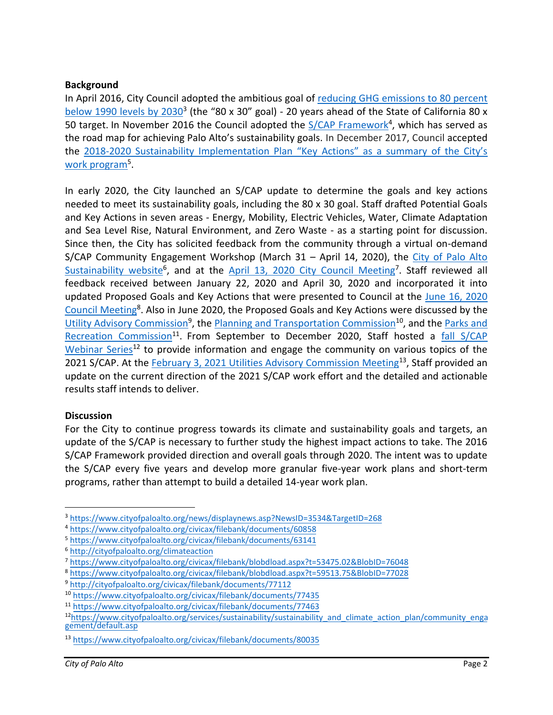## **Background**

In April 2016, City Council adopted the ambitious goal of [reducing GHG emissions to 80 percent](http://www.cityofpaloalto.org/news/displaynews.asp?NewsID=3534&TargetID=268)  [below 1990 levels by 2030](http://www.cityofpaloalto.org/news/displaynews.asp?NewsID=3534&TargetID=268)<sup>3</sup> (the "80 x 30" goal) - 20 years ahead of the State of California 80 x 50 target. In November 2016 the Council adopted the [S/CAP Framework](http://www.cityofpaloalto.org/civicax/filebank/blobdload.aspx?BlobID=60858)<sup>4</sup>, which has served as the road map for achieving Palo Alto's sustainability goals. In December 2017, Council accepted the [2018-2020 Sustainability Implementation Plan](https://www.cityofpaloalto.org/civicax/filebank/documents/63141) "Key Actions" as a summary of the City's work program<sup>5</sup>.

In early 2020, the City launched an S/CAP update to determine the goals and key actions needed to meet its sustainability goals, including the 80 x 30 goal. Staff drafted Potential Goals and Key Actions in seven areas - Energy, Mobility, Electric Vehicles, Water, Climate Adaptation and Sea Level Rise, Natural Environment, and Zero Waste - as a starting point for discussion. Since then, the City has solicited feedback from the community through a virtual on-demand S/CAP Community Engagement Workshop (March 31 - April 14, 2020), the City of Palo Alto [Sustainability website](http://cityofpaloalto.org/climateaction)<sup>6</sup>, and at the [April 13, 2020 City Council Meeting](https://www.cityofpaloalto.org/civicax/filebank/blobdload.aspx?t=53475.02&BlobID=76048)<sup>7</sup>. Staff reviewed all feedback received between January 22, 2020 and April 30, 2020 and incorporated it into updated Proposed Goals and Key Actions that were presented to Council at the June [16, 2020](https://www.cityofpaloalto.org/civicax/filebank/blobdload.aspx?t=59513.75&BlobID=77028)  [Council Meeting](https://www.cityofpaloalto.org/civicax/filebank/blobdload.aspx?t=59513.75&BlobID=77028)<sup>8</sup>. Also in June 2020, the Proposed Goals and Key Actions were discussed by the [Utility Advisory](http://cityofpaloalto.org/civicax/filebank/documents/77112) Commission<sup>9</sup>, the [Planning and Transportation Commission](https://www.cityofpaloalto.org/civicax/filebank/documents/77435)<sup>10</sup>, and the Parks and [Recreation Commission](https://www.cityofpaloalto.org/civicax/filebank/documents/77463)<sup>11</sup>. From September to December 2020, Staff hosted a fall S/CAP [Webinar Series](https://www.cityofpaloalto.org/services/sustainability/sustainability_and_climate_action_plan/community_engagement/default.asp)<sup>12</sup> to provide information and engage the community on various topics of the 2021 S/CAP. At the [February 3, 2021 Utilities Advisory Commission Meeting](https://www.cityofpaloalto.org/civicax/filebank/documents/80035)<sup>13</sup>, Staff provided an update on the current direction of the 2021 S/CAP work effort and the detailed and actionable results staff intends to deliver.

### **Discussion**

For the City to continue progress towards its climate and sustainability goals and targets, an update of the S/CAP is necessary to further study the highest impact actions to take. The 2016 S/CAP Framework provided direction and overall goals through 2020. The intent was to update the S/CAP every five years and develop more granular five-year work plans and short-term programs, rather than attempt to build a detailed 14-year work plan.

<sup>3</sup> <https://www.cityofpaloalto.org/news/displaynews.asp?NewsID=3534&TargetID=268>

<sup>4</sup> <https://www.cityofpaloalto.org/civicax/filebank/documents/60858>

<sup>5</sup> <https://www.cityofpaloalto.org/civicax/filebank/documents/63141>

<sup>6</sup> <http://cityofpaloalto.org/climateaction>

<sup>7</sup> <https://www.cityofpaloalto.org/civicax/filebank/blobdload.aspx?t=53475.02&BlobID=76048>

<sup>8</sup> <https://www.cityofpaloalto.org/civicax/filebank/blobdload.aspx?t=59513.75&BlobID=77028>

<sup>9</sup> <http://cityofpaloalto.org/civicax/filebank/documents/77112>

<sup>10</sup> <https://www.cityofpaloalto.org/civicax/filebank/documents/77435>

<sup>11</sup> <https://www.cityofpaloalto.org/civicax/filebank/documents/77463>

<sup>12</sup>[https://www.cityofpaloalto.org/services/sustainability/sustainability\\_and\\_climate\\_action\\_plan/community\\_enga](https://www.cityofpaloalto.org/services/sustainability/sustainability_and_climate_action_plan/community_engagement/default.asp) [gement/default.asp](https://www.cityofpaloalto.org/services/sustainability/sustainability_and_climate_action_plan/community_engagement/default.asp) 

<sup>13</sup> <https://www.cityofpaloalto.org/civicax/filebank/documents/80035>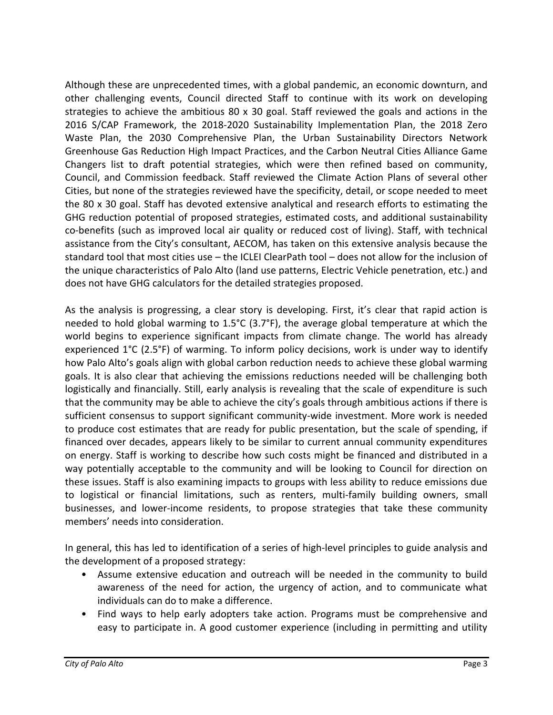Although these are unprecedented times, with a global pandemic, an economic downturn, and other challenging events, Council directed Staff to continue with its work on developing strategies to achieve the ambitious 80 x 30 goal. Staff reviewed the goals and actions in the 2016 S/CAP Framework, the 2018-2020 Sustainability Implementation Plan, the 2018 Zero Waste Plan, the 2030 Comprehensive Plan, the Urban Sustainability Directors Network Greenhouse Gas Reduction High Impact Practices, and the Carbon Neutral Cities Alliance Game Changers list to draft potential strategies, which were then refined based on community, Council, and Commission feedback. Staff reviewed the Climate Action Plans of several other Cities, but none of the strategies reviewed have the specificity, detail, or scope needed to meet the 80 x 30 goal. Staff has devoted extensive analytical and research efforts to estimating the GHG reduction potential of proposed strategies, estimated costs, and additional sustainability co-benefits (such as improved local air quality or reduced cost of living). Staff, with technical assistance from the City's consultant, AECOM, has taken on this extensive analysis because the standard tool that most cities use – the ICLEI ClearPath tool – does not allow for the inclusion of the unique characteristics of Palo Alto (land use patterns, Electric Vehicle penetration, etc.) and does not have GHG calculators for the detailed strategies proposed.

As the analysis is progressing, a clear story is developing. First, it's clear that rapid action is needed to hold global warming to 1.5°C (3.7°F), the average global temperature at which the world begins to experience significant impacts from climate change. The world has already experienced 1°C (2.5°F) of warming. To inform policy decisions, work is under way to identify how Palo Alto's goals align with global carbon reduction needs to achieve these global warming goals. It is also clear that achieving the emissions reductions needed will be challenging both logistically and financially. Still, early analysis is revealing that the scale of expenditure is such that the community may be able to achieve the city's goals through ambitious actions if there is sufficient consensus to support significant community-wide investment. More work is needed to produce cost estimates that are ready for public presentation, but the scale of spending, if financed over decades, appears likely to be similar to current annual community expenditures on energy. Staff is working to describe how such costs might be financed and distributed in a way potentially acceptable to the community and will be looking to Council for direction on these issues. Staff is also examining impacts to groups with less ability to reduce emissions due to logistical or financial limitations, such as renters, multi-family building owners, small businesses, and lower-income residents, to propose strategies that take these community members' needs into consideration.

In general, this has led to identification of a series of high-level principles to guide analysis and the development of a proposed strategy:

- Assume extensive education and outreach will be needed in the community to build awareness of the need for action, the urgency of action, and to communicate what individuals can do to make a difference.
- Find ways to help early adopters take action. Programs must be comprehensive and easy to participate in. A good customer experience (including in permitting and utility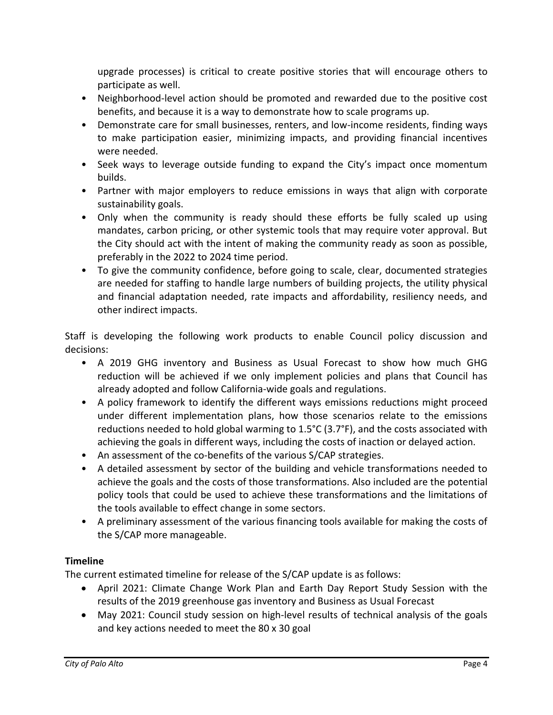upgrade processes) is critical to create positive stories that will encourage others to participate as well.

- Neighborhood-level action should be promoted and rewarded due to the positive cost benefits, and because it is a way to demonstrate how to scale programs up.
- Demonstrate care for small businesses, renters, and low-income residents, finding ways to make participation easier, minimizing impacts, and providing financial incentives were needed.
- Seek ways to leverage outside funding to expand the City's impact once momentum builds.
- Partner with major employers to reduce emissions in ways that align with corporate sustainability goals.
- Only when the community is ready should these efforts be fully scaled up using mandates, carbon pricing, or other systemic tools that may require voter approval. But the City should act with the intent of making the community ready as soon as possible, preferably in the 2022 to 2024 time period.
- To give the community confidence, before going to scale, clear, documented strategies are needed for staffing to handle large numbers of building projects, the utility physical and financial adaptation needed, rate impacts and affordability, resiliency needs, and other indirect impacts.

Staff is developing the following work products to enable Council policy discussion and decisions:

- A 2019 GHG inventory and Business as Usual Forecast to show how much GHG reduction will be achieved if we only implement policies and plans that Council has already adopted and follow California-wide goals and regulations.
- A policy framework to identify the different ways emissions reductions might proceed under different implementation plans, how those scenarios relate to the emissions reductions needed to hold global warming to 1.5°C (3.7°F), and the costs associated with achieving the goals in different ways, including the costs of inaction or delayed action.
- An assessment of the co-benefits of the various S/CAP strategies.
- A detailed assessment by sector of the building and vehicle transformations needed to achieve the goals and the costs of those transformations. Also included are the potential policy tools that could be used to achieve these transformations and the limitations of the tools available to effect change in some sectors.
- A preliminary assessment of the various financing tools available for making the costs of the S/CAP more manageable.

# **Timeline**

The current estimated timeline for release of the S/CAP update is as follows:

- April 2021: Climate Change Work Plan and Earth Day Report Study Session with the results of the 2019 greenhouse gas inventory and Business as Usual Forecast
- May 2021: Council study session on high-level results of technical analysis of the goals and key actions needed to meet the 80 x 30 goal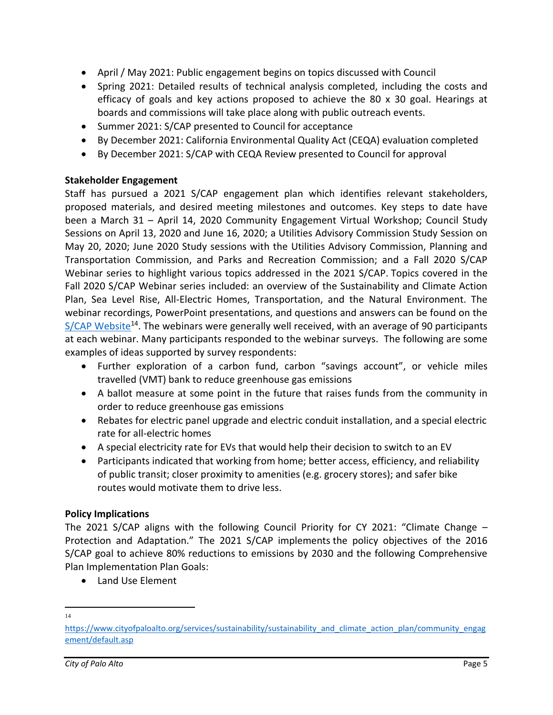- April / May 2021: Public engagement begins on topics discussed with Council
- Spring 2021: Detailed results of technical analysis completed, including the costs and efficacy of goals and key actions proposed to achieve the 80 x 30 goal. Hearings at boards and commissions will take place along with public outreach events.
- Summer 2021: S/CAP presented to Council for acceptance
- By December 2021: California Environmental Quality Act (CEQA) evaluation completed
- By December 2021: S/CAP with CEQA Review presented to Council for approval

## **Stakeholder Engagement**

Staff has pursued a 2021 S/CAP engagement plan which identifies relevant stakeholders, proposed materials, and desired meeting milestones and outcomes. Key steps to date have been a March 31 – April 14, 2020 Community Engagement Virtual Workshop; Council Study Sessions on April 13, 2020 and June 16, 2020; a Utilities Advisory Commission Study Session on May 20, 2020; June 2020 Study sessions with the Utilities Advisory Commission, Planning and Transportation Commission, and Parks and Recreation Commission; and a Fall 2020 S/CAP Webinar series to highlight various topics addressed in the 2021 S/CAP. Topics covered in the Fall 2020 S/CAP Webinar series included: an overview of the Sustainability and Climate Action Plan, Sea Level Rise, All-Electric Homes, Transportation, and the Natural Environment. The webinar recordings, PowerPoint presentations, and questions and answers can be found on the  $S/CAP$  Website<sup>14</sup>. The webinars were generally well received, with an average of 90 participants at each webinar. Many participants responded to the webinar surveys. The following are some examples of ideas supported by survey respondents:

- Further exploration of a carbon fund, carbon "savings account", or vehicle miles travelled (VMT) bank to reduce greenhouse gas emissions
- A ballot measure at some point in the future that raises funds from the community in order to reduce greenhouse gas emissions
- Rebates for electric panel upgrade and electric conduit installation, and a special electric rate for all-electric homes
- A special electricity rate for EVs that would help their decision to switch to an EV
- Participants indicated that working from home; better access, efficiency, and reliability of public transit; closer proximity to amenities (e.g. grocery stores); and safer bike routes would motivate them to drive less.

## **Policy Implications**

The 2021 S/CAP aligns with the following Council Priority for CY 2021: "Climate Change – Protection and Adaptation." The 2021 S/CAP implements the policy objectives of the 2016 S/CAP goal to achieve 80% reductions to emissions by 2030 and the following Comprehensive Plan Implementation Plan Goals:

• Land Use Element

 $\overline{a}$ 14

[https://www.cityofpaloalto.org/services/sustainability/sustainability\\_and\\_climate\\_action\\_plan/community\\_engag](https://www.cityofpaloalto.org/services/sustainability/sustainability_and_climate_action_plan/community_engagement/default.asp) [ement/default.asp](https://www.cityofpaloalto.org/services/sustainability/sustainability_and_climate_action_plan/community_engagement/default.asp)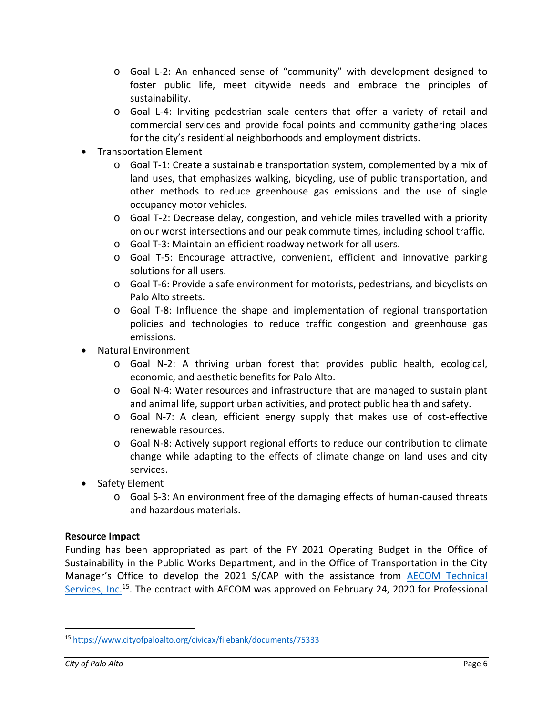- o Goal L-2: An enhanced sense of "community" with development designed to foster public life, meet citywide needs and embrace the principles of sustainability.
- o Goal L-4: Inviting pedestrian scale centers that offer a variety of retail and commercial services and provide focal points and community gathering places for the city's residential neighborhoods and employment districts.
- Transportation Element
	- o Goal T-1: Create a sustainable transportation system, complemented by a mix of land uses, that emphasizes walking, bicycling, use of public transportation, and other methods to reduce greenhouse gas emissions and the use of single occupancy motor vehicles.
	- o Goal T-2: Decrease delay, congestion, and vehicle miles travelled with a priority on our worst intersections and our peak commute times, including school traffic.
	- o Goal T-3: Maintain an efficient roadway network for all users.
	- o Goal T-5: Encourage attractive, convenient, efficient and innovative parking solutions for all users.
	- o Goal T-6: Provide a safe environment for motorists, pedestrians, and bicyclists on Palo Alto streets.
	- o Goal T-8: Influence the shape and implementation of regional transportation policies and technologies to reduce traffic congestion and greenhouse gas emissions.
- Natural Environment
	- o Goal N-2: A thriving urban forest that provides public health, ecological, economic, and aesthetic benefits for Palo Alto.
	- o Goal N-4: Water resources and infrastructure that are managed to sustain plant and animal life, support urban activities, and protect public health and safety.
	- o Goal N-7: A clean, efficient energy supply that makes use of cost-effective renewable resources.
	- o Goal N-8: Actively support regional efforts to reduce our contribution to climate change while adapting to the effects of climate change on land uses and city services.
- Safety Element
	- o Goal S-3: An environment free of the damaging effects of human-caused threats and hazardous materials.

### **Resource Impact**

Funding has been appropriated as part of the FY 2021 Operating Budget in the Office of Sustainability in the Public Works Department, and in the Office of Transportation in the City Manager's Office to develop the 2021 S/CAP with the assistance from **AECOM** Technical [Services, Inc.](https://www.cityofpaloalto.org/civicax/filebank/documents/75333)<sup>15</sup>. The contract with AECOM was approved on February 24, 2020 for Professional

 $\overline{a}$ 

<sup>15</sup> <https://www.cityofpaloalto.org/civicax/filebank/documents/75333>